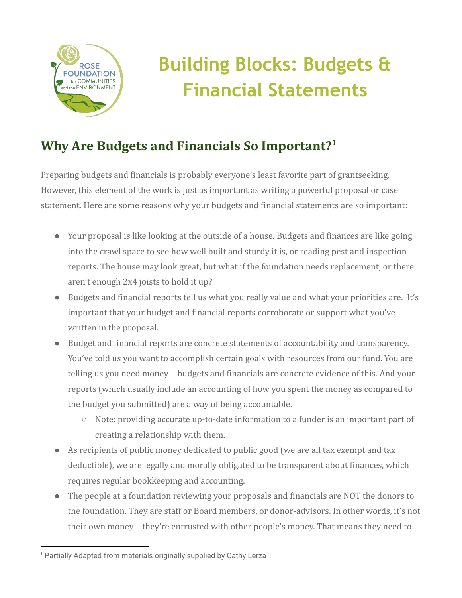

# **Building Blocks: Budgets & Financial Statements**

## **Why Are Budgets and Financials So Important?<sup>1</sup>**

Preparing budgets and financials is probably everyone's least favorite part of grantseeking. However, this element of the work is just as important as writing a powerful proposal or case statement. Here are some reasons why your budgets and financial statements are so important:

- Your proposal is like looking at the outside of a house. Budgets and finances are like going into the crawl space to see how well built and sturdy it is, or reading pest and inspection reports. The house may look great, but what if the foundation needs replacement, or there aren't enough 2x4 joists to hold it up?
- Budgets and financial reports tell us what you really value and what your priorities are. It's important that your budget and financial reports corroborate or support what you've written in the proposal.
- Budget and financial reports are concrete statements of accountability and transparency. You've told us you want to accomplish certain goals with resources from our fund. You are telling us you need money—budgets and financials are concrete evidence of this. And your reports (which usually include an accounting of how you spent the money as compared to the budget you submitted) are a way of being accountable.
	- Note: providing accurate up-to-date information to a funder is an important part of creating a relationship with them.
- As recipients of public money dedicated to public good (we are all tax exempt and tax deductible), we are legally and morally obligated to be transparent about finances, which requires regular bookkeeping and accounting.
- The people at a foundation reviewing your proposals and financials are NOT the donors to the foundation. They are staff or Board members, or donor-advisors. In other words, it's not their own money – they're entrusted with other people's money. That means they need to

<sup>&</sup>lt;sup>1</sup> Partially Adapted from materials originally supplied by Cathy Lerza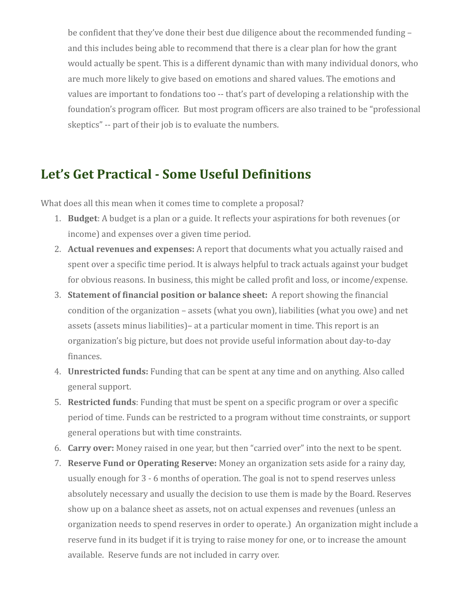be confident that they've done their best due diligence about the recommended funding – and this includes being able to recommend that there is a clear plan for how the grant would actually be spent. This is a different dynamic than with many individual donors, who are much more likely to give based on emotions and shared values. The emotions and values are important to fondations too -- that's part of developing a relationship with the foundation's program officer. But most program officers are also trained to be "professional skeptics" -- part of their job is to evaluate the numbers.

## **Let's Get Practical - Some Useful Definitions**

What does all this mean when it comes time to complete a proposal?

- 1. **Budget**: A budget is a plan or a guide. It reflects your aspirations for both revenues (or income) and expenses over a given time period.
- 2. **Actual revenues and expenses:** A report that documents what you actually raised and spent over a specific time period. It is always helpful to track actuals against your budget for obvious reasons. In business, this might be called profit and loss, or income/expense.
- 3. **Statement of financial position or balance sheet:** A report showing the financial condition of the organization – assets (what you own), liabilities (what you owe) and net assets (assets minus liabilities)– at a particular moment in time. This report is an organization's big picture, but does not provide useful information about day-to-day finances.
- 4. **Unrestricted funds:** Funding that can be spent at any time and on anything. Also called general support.
- 5. **Restricted funds**: Funding that must be spent on a specific program or over a specific period of time. Funds can be restricted to a program without time constraints, or support general operations but with time constraints.
- 6. **Carry over:** Money raised in one year, but then "carried over" into the next to be spent.
- 7. **Reserve Fund or Operating Reserve:** Money an organization sets aside for a rainy day, usually enough for 3 - 6 months of operation. The goal is not to spend reserves unless absolutely necessary and usually the decision to use them is made by the Board. Reserves show up on a balance sheet as assets, not on actual expenses and revenues (unless an organization needs to spend reserves in order to operate.) An organization might include a reserve fund in its budget if it is trying to raise money for one, or to increase the amount available. Reserve funds are not included in carry over.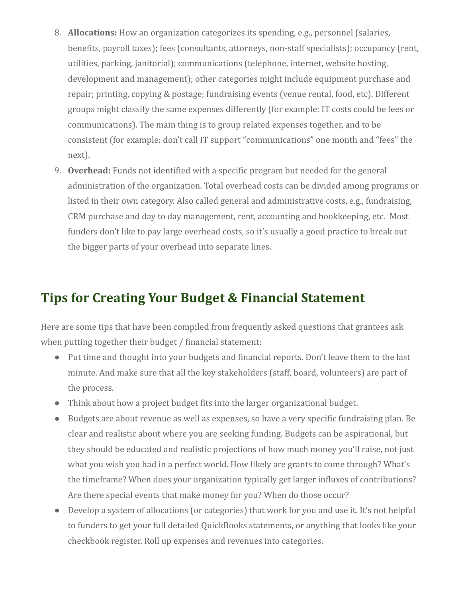- 8. **Allocations:** How an organization categorizes its spending, e.g., personnel (salaries, benefits, payroll taxes); fees (consultants, attorneys, non-staff specialists); occupancy (rent, utilities, parking, janitorial); communications (telephone, internet, website hosting, development and management); other categories might include equipment purchase and repair; printing, copying & postage; fundraising events (venue rental, food, etc). Different groups might classify the same expenses differently (for example: IT costs could be fees or communications). The main thing is to group related expenses together, and to be consistent (for example: don't call IT support "communications" one month and "fees" the next).
- 9. **Overhead:** Funds not identified with a specific program but needed for the general administration of the organization. Total overhead costs can be divided among programs or listed in their own category. Also called general and administrative costs, e.g., fundraising, CRM purchase and day to day management, rent, accounting and bookkeeping, etc. Most funders don't like to pay large overhead costs, so it's usually a good practice to break out the bigger parts of your overhead into separate lines.

## **Tips for Creating Your Budget & Financial Statement**

Here are some tips that have been compiled from frequently asked questions that grantees ask when putting together their budget / financial statement:

- Put time and thought into your budgets and financial reports. Don't leave them to the last minute. And make sure that all the key stakeholders (staff, board, volunteers) are part of the process.
- Think about how a project budget fits into the larger organizational budget.
- Budgets are about revenue as well as expenses, so have a very specific fundraising plan. Be clear and realistic about where you are seeking funding. Budgets can be aspirational, but they should be educated and realistic projections of how much money you'll raise, not just what you wish you had in a perfect world. How likely are grants to come through? What's the timeframe? When does your organization typically get larger influxes of contributions? Are there special events that make money for you? When do those occur?
- Develop a system of allocations (or categories) that work for you and use it. It's not helpful to funders to get your full detailed QuickBooks statements, or anything that looks like your checkbook register. Roll up expenses and revenues into categories.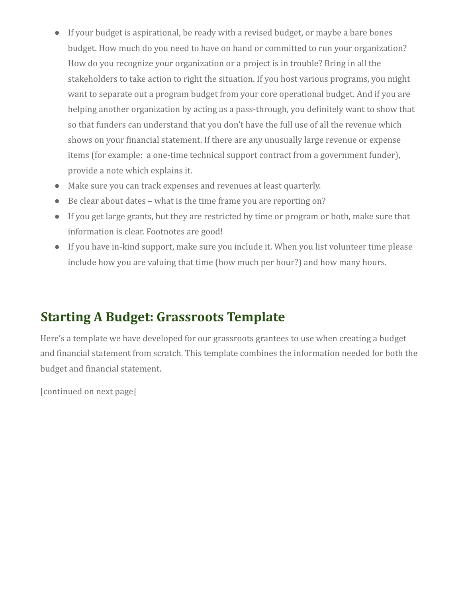- If your budget is aspirational, be ready with a revised budget, or maybe a bare bones budget. How much do you need to have on hand or committed to run your organization? How do you recognize your organization or a project is in trouble? Bring in all the stakeholders to take action to right the situation. If you host various programs, you might want to separate out a program budget from your core operational budget. And if you are helping another organization by acting as a pass-through, you definitely want to show that so that funders can understand that you don't have the full use of all the revenue which shows on your financial statement. If there are any unusually large revenue or expense items (for example: a one-time technical support contract from a government funder), provide a note which explains it.
- Make sure you can track expenses and revenues at least quarterly.
- Be clear about dates what is the time frame you are reporting on?
- If you get large grants, but they are restricted by time or program or both, make sure that information is clear. Footnotes are good!
- If you have in-kind support, make sure you include it. When you list volunteer time please include how you are valuing that time (how much per hour?) and how many hours.

## **Starting A Budget: Grassroots Template**

Here's a template we have developed for our grassroots grantees to use when creating a budget and financial statement from scratch. This template combines the information needed for both the budget and financial statement.

[continued on next page]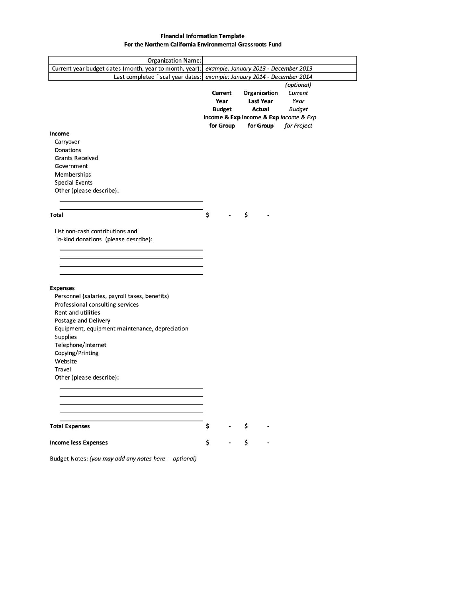#### **Financial Information Template** For the Northern California Environmental Grassroots Fund

| <b>Organization Name:</b>                                                                     |               |  |                                        |               |
|-----------------------------------------------------------------------------------------------|---------------|--|----------------------------------------|---------------|
| Current year budget dates (month, year to month, year): example: January 2013 - December 2013 |               |  |                                        |               |
| Last completed fiscal year dates:<br>example: January 2014 - December 2014                    |               |  |                                        |               |
|                                                                                               |               |  |                                        | (optional)    |
|                                                                                               | Current       |  | Organization                           | Current       |
|                                                                                               | Year          |  | Last Year                              | Year          |
|                                                                                               | <b>Budget</b> |  | Actual                                 | <b>Budget</b> |
|                                                                                               |               |  | Income & Exp Income & Exp Income & Exp |               |
|                                                                                               | for Group     |  | for Group                              | for Project   |
| Income                                                                                        |               |  |                                        |               |
| Carryover                                                                                     |               |  |                                        |               |
| Donations                                                                                     |               |  |                                        |               |
| <b>Grants Received</b>                                                                        |               |  |                                        |               |
| Government                                                                                    |               |  |                                        |               |
| Memberships                                                                                   |               |  |                                        |               |
| <b>Special Events</b>                                                                         |               |  |                                        |               |
| Other (please describe):                                                                      |               |  |                                        |               |
|                                                                                               |               |  |                                        |               |
|                                                                                               |               |  |                                        |               |
| Total                                                                                         | \$            |  | Ś                                      |               |
|                                                                                               |               |  |                                        |               |
| List non-cash contributions and                                                               |               |  |                                        |               |
| in-kind donations (please describe):                                                          |               |  |                                        |               |
|                                                                                               |               |  |                                        |               |
|                                                                                               |               |  |                                        |               |
|                                                                                               |               |  |                                        |               |
|                                                                                               |               |  |                                        |               |
|                                                                                               |               |  |                                        |               |
| <b>Expenses</b>                                                                               |               |  |                                        |               |
| Personnel (salaries, payroll taxes, benefits)                                                 |               |  |                                        |               |
| Professional consulting services                                                              |               |  |                                        |               |
| <b>Rent and utilities</b>                                                                     |               |  |                                        |               |
| Postage and Delivery                                                                          |               |  |                                        |               |
| Equipment, equipment maintenance, depreciation                                                |               |  |                                        |               |
| Supplies                                                                                      |               |  |                                        |               |
| Telephone/Internet                                                                            |               |  |                                        |               |
| Copying/Printing                                                                              |               |  |                                        |               |
| Website                                                                                       |               |  |                                        |               |
| Travel                                                                                        |               |  |                                        |               |
| Other (please describe):                                                                      |               |  |                                        |               |
|                                                                                               |               |  |                                        |               |
|                                                                                               |               |  |                                        |               |
|                                                                                               |               |  |                                        |               |
|                                                                                               |               |  |                                        |               |
|                                                                                               |               |  |                                        |               |
| <b>Total Expenses</b>                                                                         | \$            |  | \$                                     |               |
|                                                                                               |               |  |                                        |               |
| <b>Income less Expenses</b>                                                                   | \$            |  | \$                                     |               |
|                                                                                               |               |  |                                        |               |

Budget Notes: (you may add any notes here -- optional)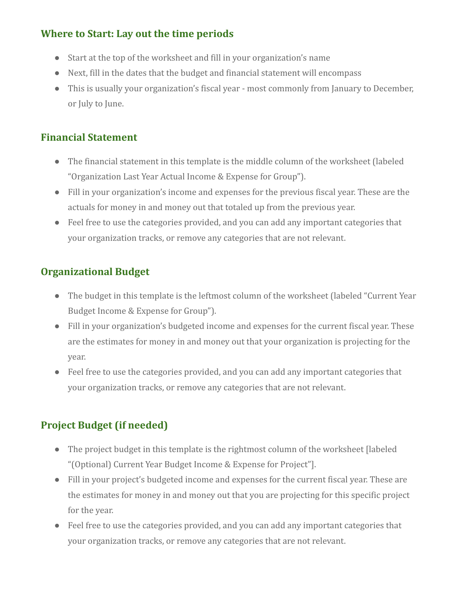#### **Where to Start: Lay out the time periods**

- Start at the top of the worksheet and fill in your organization's name
- Next, fill in the dates that the budget and financial statement will encompass
- This is usually your organization's fiscal year most commonly from January to December, or July to June.

#### **Financial Statement**

- The financial statement in this template is the middle column of the worksheet (labeled "Organization Last Year Actual Income & Expense for Group").
- Fill in your organization's income and expenses for the previous fiscal year. These are the actuals for money in and money out that totaled up from the previous year.
- Feel free to use the categories provided, and you can add any important categories that your organization tracks, or remove any categories that are not relevant.

#### **Organizational Budget**

- The budget in this template is the leftmost column of the worksheet (labeled "Current Year Budget Income & Expense for Group").
- Fill in your organization's budgeted income and expenses for the current fiscal year. These are the estimates for money in and money out that your organization is projecting for the year.
- Feel free to use the categories provided, and you can add any important categories that your organization tracks, or remove any categories that are not relevant.

### **Project Budget (if needed)**

- The project budget in this template is the rightmost column of the worksheet [labeled "(Optional) Current Year Budget Income & Expense for Project"].
- Fill in your project's budgeted income and expenses for the current fiscal year. These are the estimates for money in and money out that you are projecting for this specific project for the year.
- Feel free to use the categories provided, and you can add any important categories that your organization tracks, or remove any categories that are not relevant.